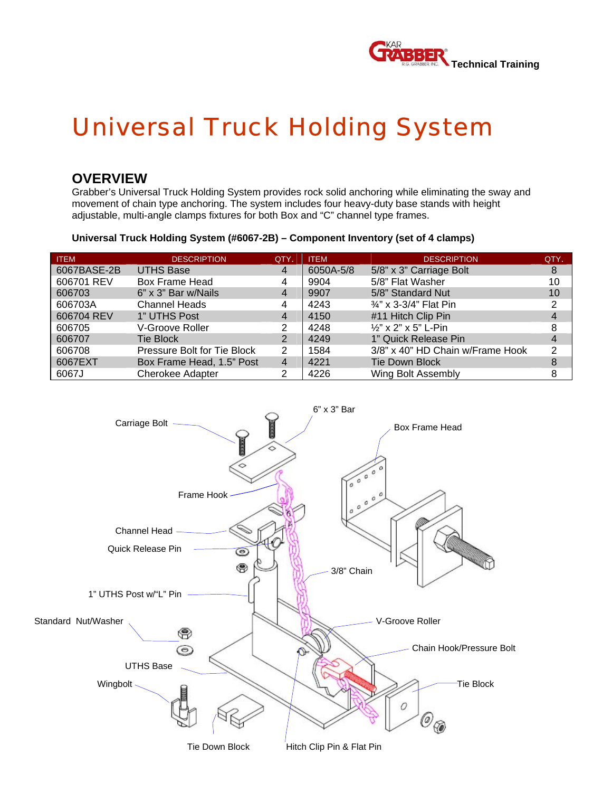

# *Universal Truck Holding System*

### **OVERVIEW**

Grabber's Universal Truck Holding System provides rock solid anchoring while eliminating the sway and movement of chain type anchoring. The system includes four heavy-duty base stands with height adjustable, multi-angle clamps fixtures for both Box and "C" channel type frames.

#### **Universal Truck Holding System (#6067-2B) – Component Inventory (set of 4 clamps)**

| <b>ITEM</b> | <b>DESCRIPTION</b>          | QTY. | <b>ITEM</b> | <b>DESCRIPTION</b>               | QTY. |
|-------------|-----------------------------|------|-------------|----------------------------------|------|
| 6067BASE-2B | <b>UTHS Base</b>            | 4    | 6050A-5/8   | 5/8" x 3" Carriage Bolt          | 8    |
| 606701 REV  | Box Frame Head              | 4    | 9904        | 5/8" Flat Washer                 | 10   |
| 606703      | 6" x 3" Bar w/Nails         | 4    | 9907        | 5/8" Standard Nut                | 10   |
| 606703A     | <b>Channel Heads</b>        | 4    | 4243        | 3/4" x 3-3/4" Flat Pin           | 2    |
| 606704 REV  | 1" UTHS Post                | 4    | 4150        | #11 Hitch Clip Pin               |      |
| 606705      | V-Groove Roller             |      | 4248        | 1/2" x 2" x 5" L-Pin             | 8    |
| 606707      | <b>Tie Block</b>            | 2    | 4249        | 1" Quick Release Pin             |      |
| 606708      | Pressure Bolt for Tie Block | 2    | 1584        | 3/8" x 40" HD Chain w/Frame Hook | 2    |
| 6067EXT     | Box Frame Head, 1.5" Post   | 4    | 4221        | <b>Tie Down Block</b>            | 8    |
| 6067J       | <b>Cherokee Adapter</b>     | 2    | 4226        | Wing Bolt Assembly               | 8    |

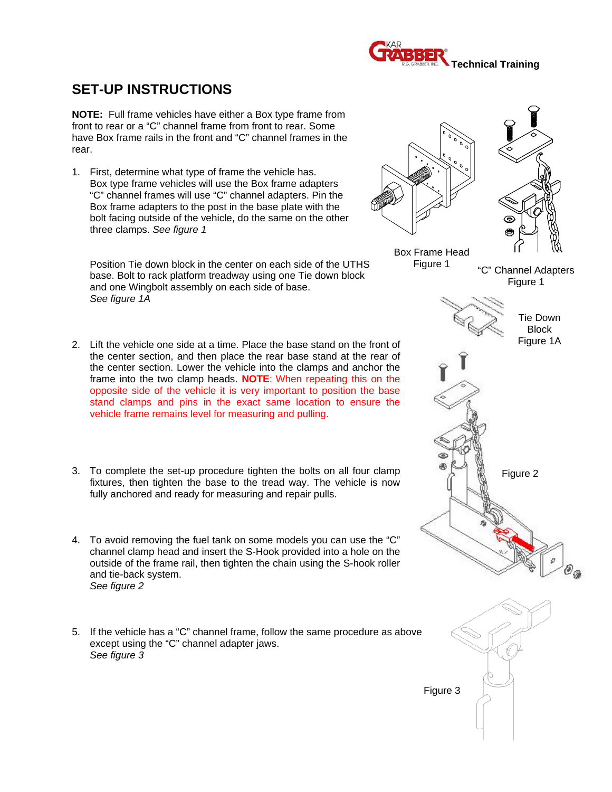

## **SET-UP INSTRUCTIONS**

**NOTE:** Full frame vehicles have either a Box type frame from front to rear or a "C" channel frame from front to rear. Some have Box frame rails in the front and "C" channel frames in the rear.

1. First, determine what type of frame the vehicle has. Box type frame vehicles will use the Box frame adapters "C" channel frames will use "C" channel adapters. Pin the Box frame adapters to the post in the base plate with the bolt facing outside of the vehicle, do the same on the other three clamps. *See figure 1* 

Position Tie down block in the center on each side of the UTHS base. Bolt to rack platform treadway using one Tie down block and one Wingbolt assembly on each side of base. *See figure 1A*

- 2. Lift the vehicle one side at a time. Place the base stand on the front of the center section, and then place the rear base stand at the rear of the center section. Lower the vehicle into the clamps and anchor the frame into the two clamp heads. **NOTE**: When repeating this on the opposite side of the vehicle it is very important to position the base stand clamps and pins in the exact same location to ensure the vehicle frame remains level for measuring and pulling.
- 3. To complete the set-up procedure tighten the bolts on all four clamp fixtures, then tighten the base to the tread way. The vehicle is now fully anchored and ready for measuring and repair pulls.
- 4. To avoid removing the fuel tank on some models you can use the "C" channel clamp head and insert the S-Hook provided into a hole on the outside of the frame rail, then tighten the chain using the S-hook roller and tie-back system.  *See figure 2*
- 5. If the vehicle has a "C" channel frame, follow the same procedure as above except using the "C" channel adapter jaws.  *See figure 3*